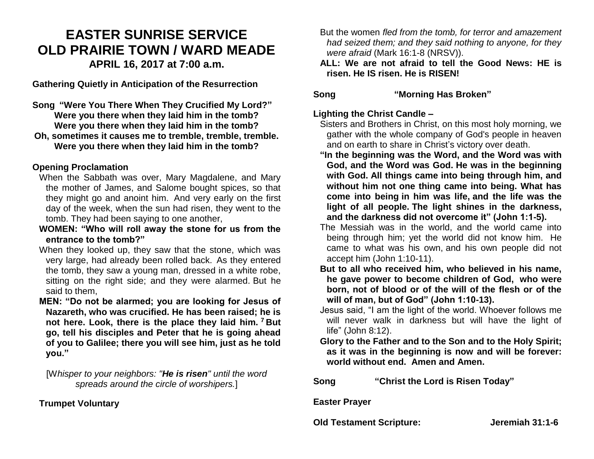## **EASTER SUNRISE SERVICE OLD PRAIRIE TOWN / WARD MEADE APRIL 16, 2017 at 7:00 a.m.**

**Gathering Quietly in Anticipation of the Resurrection**

- **Song "Were You There When They Crucified My Lord?" Were you there when they laid him in the tomb? Were you there when they laid him in the tomb?**
- **Oh, sometimes it causes me to tremble, tremble, tremble. Were you there when they laid him in the tomb?**

#### **Opening Proclamation**

- When the Sabbath was over, Mary Magdalene, and Mary the mother of James, and Salome bought spices, so that they might go and anoint him. And very early on the first day of the week, when the sun had risen, they went to the tomb. They had been saying to one another,
- **WOMEN: "Who will roll away the stone for us from the entrance to the tomb?"**
- When they looked up, they saw that the stone, which was very large, had already been rolled back. As they entered the tomb, they saw a young man, dressed in a white robe, sitting on the right side; and they were alarmed. But he said to them,
- **MEN: "Do not be alarmed; you are looking for Jesus of Nazareth, who was crucified. He has been raised; he is not here. Look, there is the place they laid him. <sup>7</sup> But go, tell his disciples and Peter that he is going ahead of you to Galilee; there you will see him, just as he told you."**

[W*hisper to your neighbors: "He is risen" until the word spreads around the circle of worshipers.*]

## **Trumpet Voluntary**

But the women *fled from the tomb, for terror and amazement had seized them; and they said nothing to anyone, for they were afraid* (Mark 16:1-8 (NRSV)).

**ALL: We are not afraid to tell the Good News: HE is risen. He IS risen. He is RISEN!** 

#### **Song "Morning Has Broken"**

### **Lighting the Christ Candle –**

- Sisters and Brothers in Christ, on this most holy morning, we gather with the whole company of God's people in heaven and on earth to share in Christ's victory over death.
- **"In the beginning was the Word, and the Word was with God, and the Word was God. He was in the beginning with God. All things came into being through him, and without him not one thing came into being. What has come into being in him was life, and the life was the light of all people. The light shines in the darkness, and the darkness did not overcome it" (John 1:1-5).**
- The Messiah was in the world, and the world came into being through him; yet the world did not know him. He came to what was his own, and his own people did not accept him (John 1:10-11).
- **But to all who received him, who believed in his name, he gave power to become children of God, who were born, not of blood or of the will of the flesh or of the will of man, but of God" (John 1:10-13).**
- Jesus said, "I am the light of the world. Whoever follows me will never walk in darkness but will have the light of life" (John 8:12).
- **Glory to the Father and to the Son and to the Holy Spirit; as it was in the beginning is now and will be forever: world without end. Amen and Amen.**

**Song "Christ the Lord is Risen Today"** 

**Easter Prayer**

**Old Testament Scripture: Jeremiah 31:1-6**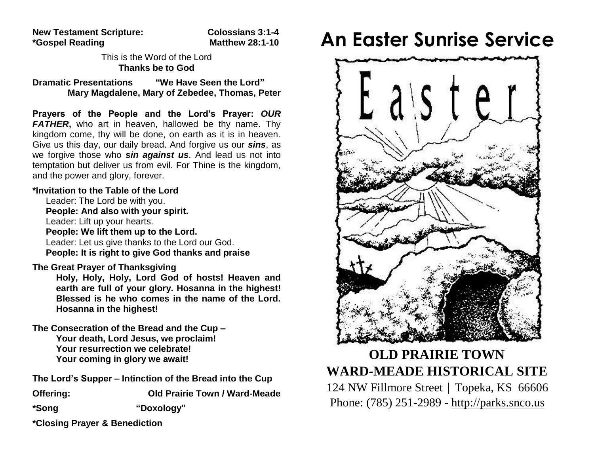**New Testament Scripture: Colossians 3:1-4 \*Gospel Reading Matthew 28:1-10**

This is the Word of the Lord **Thanks be to God**

**Dramatic Presentations "We Have Seen the Lord" Mary Magdalene, Mary of Zebedee, Thomas, Peter**

**Prayers of the People and the Lord's Prayer:** *OUR FATHER*, who art in heaven, hallowed be thy name. Thy kingdom come, thy will be done, on earth as it is in heaven. Give us this day, our daily bread. And forgive us our *sins*, as we forgive those who *sin against us*. And lead us not into temptation but deliver us from evil. For Thine is the kingdom, and the power and glory, forever.

#### **\*Invitation to the Table of the Lord**

Leader: The Lord be with you. **People: And also with your spirit.** Leader: Lift up your hearts. **People: We lift them up to the Lord.** Leader: Let us give thanks to the Lord our God. **People: It is right to give God thanks and praise**

#### **The Great Prayer of Thanksgiving**

**Holy, Holy, Holy, Lord God of hosts! Heaven and earth are full of your glory. Hosanna in the highest! Blessed is he who comes in the name of the Lord. Hosanna in the highest!**

**The Consecration of the Bread and the Cup – Your death, Lord Jesus, we proclaim! Your resurrection we celebrate! Your coming in glory we await!**

**The Lord's Supper – Intinction of the Bread into the Cup**

**Offering: Old Prairie Town / Ward-Meade**

**\*Song "Doxology"** 

**\*Closing Prayer & Benediction**

# **An Easter Sunrise Service**



# **OLD PRAIRIE TOWN WARD-MEADE HISTORICAL SITE**

124 NW Fillmore Street | Topeka, KS 66606 Phone: (785) 251-2989 - http://parks.snco.us